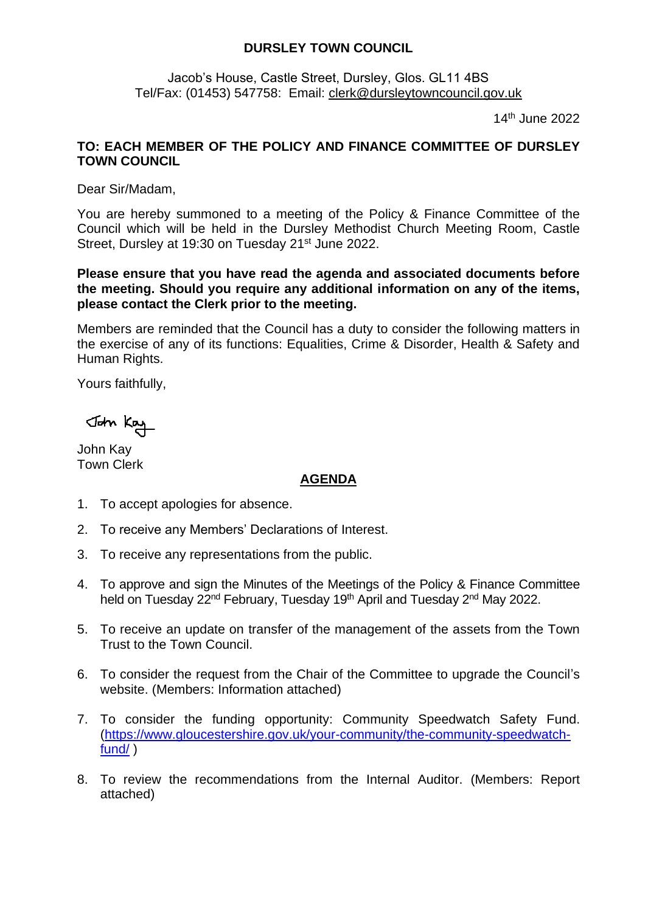## **DURSLEY TOWN COUNCIL**

Jacob's House, Castle Street, Dursley, Glos. GL11 4BS Tel/Fax: (01453) 547758: Email: [clerk@dursleytowncouncil.gov.uk](mailto:clerk@dursleytowncouncil.gov.uk)

14th June 2022

## **TO: EACH MEMBER OF THE POLICY AND FINANCE COMMITTEE OF DURSLEY TOWN COUNCIL**

Dear Sir/Madam,

You are hereby summoned to a meeting of the Policy & Finance Committee of the Council which will be held in the Dursley Methodist Church Meeting Room, Castle Street, Dursley at 19:30 on Tuesday 21<sup>st</sup> June 2022.

## **Please ensure that you have read the agenda and associated documents before the meeting. Should you require any additional information on any of the items, please contact the Clerk prior to the meeting.**

Members are reminded that the Council has a duty to consider the following matters in the exercise of any of its functions: Equalities, Crime & Disorder, Health & Safety and Human Rights.

Yours faithfully,

John Kay

John Kay Town Clerk

## **AGENDA**

- 1. To accept apologies for absence.
- 2. To receive any Members' Declarations of Interest.
- 3. To receive any representations from the public.
- 4. To approve and sign the Minutes of the Meetings of the Policy & Finance Committee held on Tuesday 22<sup>nd</sup> February, Tuesday 19<sup>th</sup> April and Tuesday 2<sup>nd</sup> May 2022.
- 5. To receive an update on transfer of the management of the assets from the Town Trust to the Town Council.
- 6. To consider the request from the Chair of the Committee to upgrade the Council's website. (Members: Information attached)
- 7. To consider the funding opportunity: Community Speedwatch Safety Fund. [\(https://www.gloucestershire.gov.uk/your-community/the-community-speedwatch](https://www.gloucestershire.gov.uk/your-community/the-community-speedwatch-fund/)[fund/](https://www.gloucestershire.gov.uk/your-community/the-community-speedwatch-fund/) )
- 8. To review the recommendations from the Internal Auditor. (Members: Report attached)